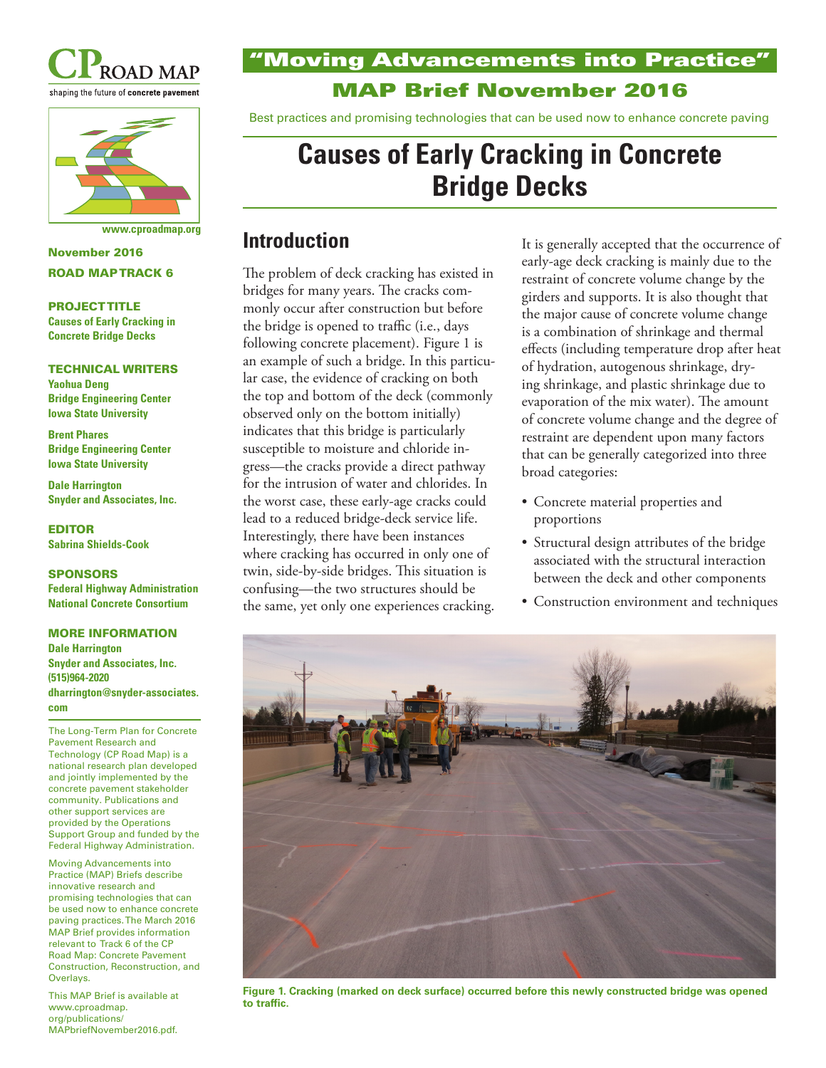



November 2016 ROAD MAP TRACK 6

#### PROJECT TITLE

**Causes of Early Cracking in Concrete Bridge Decks**

#### TECHNICAL WRITERS

**Yaohua Deng Bridge Engineering Center Iowa State University**

**Brent Phares Bridge Engineering Center Iowa State University**

**Dale Harrington Snyder and Associates, Inc.**

EDITOR **Sabrina Shields-Cook**

#### SPONSORS

**Federal Highway Administration National Concrete Consortium**

#### MORE INFORMATION **Dale Harrington Snyder and Associates, Inc. (515)964-2020 dharrington@snyder-associates. com**

The Long-Term Plan for Concrete Pavement Research and Technology (CP Road Map) is a national research plan developed and jointly implemented by the concrete pavement stakeholder community. Publications and other support services are provided by the Operations Support Group and funded by the Federal Highway Administration.

Moving Advancements into Practice (MAP) Briefs describe innovative research and promising technologies that can be used now to enhance concrete paving practices. The March 2016 MAP Brief provides information relevant to Track 6 of the CP Road Map: Concrete Pavement Construction, Reconstruction, and Overlays.

This MAP Brief is available at www.cproadmap. org/publications/ MAPbriefNovember2016.pdf.

### "Moving Advancements into Practice" MAP Brief November 2016

Best practices and promising technologies that can be used now to enhance concrete paving

# **Causes of Early Cracking in Concrete Bridge Decks**

## **www.cproadmap.org Introduction**

The problem of deck cracking has existed in bridges for many years. The cracks commonly occur after construction but before the bridge is opened to traffic (i.e., days following concrete placement). Figure 1 is an example of such a bridge. In this particular case, the evidence of cracking on both the top and bottom of the deck (commonly observed only on the bottom initially) indicates that this bridge is particularly susceptible to moisture and chloride ingress—the cracks provide a direct pathway for the intrusion of water and chlorides. In the worst case, these early-age cracks could lead to a reduced bridge-deck service life. Interestingly, there have been instances where cracking has occurred in only one of twin, side-by-side bridges. This situation is confusing—the two structures should be the same, yet only one experiences cracking.

It is generally accepted that the occurrence of early-age deck cracking is mainly due to the restraint of concrete volume change by the girders and supports. It is also thought that the major cause of concrete volume change is a combination of shrinkage and thermal effects (including temperature drop after heat of hydration, autogenous shrinkage, drying shrinkage, and plastic shrinkage due to evaporation of the mix water). The amount of concrete volume change and the degree of restraint are dependent upon many factors that can be generally categorized into three broad categories:

- Concrete material properties and proportions
- Structural design attributes of the bridge associated with the structural interaction between the deck and other components
- Construction environment and techniques



**Figure 1. Cracking (marked on deck surface) occurred before this newly constructed bridge was opened to traffic.**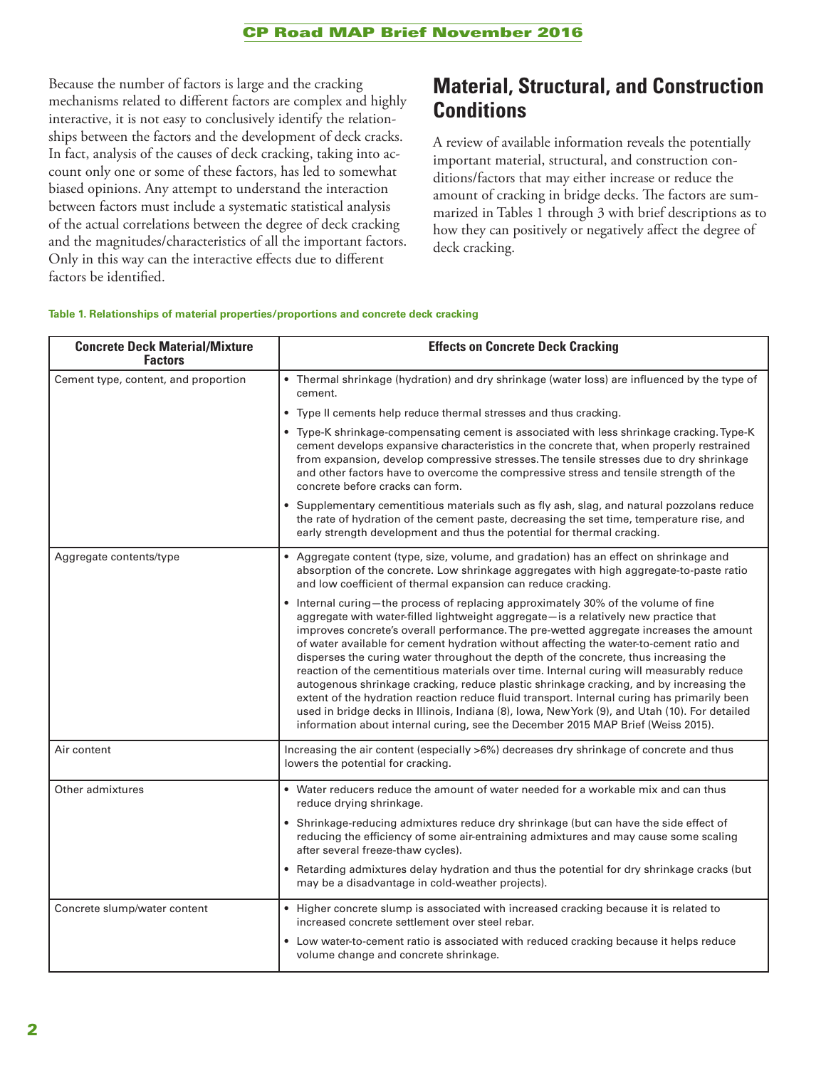Because the number of factors is large and the cracking mechanisms related to different factors are complex and highly interactive, it is not easy to conclusively identify the relationships between the factors and the development of deck cracks. In fact, analysis of the causes of deck cracking, taking into account only one or some of these factors, has led to somewhat biased opinions. Any attempt to understand the interaction between factors must include a systematic statistical analysis of the actual correlations between the degree of deck cracking and the magnitudes/characteristics of all the important factors. Only in this way can the interactive effects due to different factors be identified.

### **Material, Structural, and Construction Conditions**

A review of available information reveals the potentially important material, structural, and construction conditions/factors that may either increase or reduce the amount of cracking in bridge decks. The factors are summarized in Tables 1 through 3 with brief descriptions as to how they can positively or negatively affect the degree of deck cracking.

#### **Table 1. Relationships of material properties/proportions and concrete deck cracking**

| <b>Concrete Deck Material/Mixture</b><br><b>Factors</b> | <b>Effects on Concrete Deck Cracking</b>                                                                                                                                                                                                                                                                                                                                                                                                                                                                                                                                                                                                                                                                                                                                                                                                                                                                                           |
|---------------------------------------------------------|------------------------------------------------------------------------------------------------------------------------------------------------------------------------------------------------------------------------------------------------------------------------------------------------------------------------------------------------------------------------------------------------------------------------------------------------------------------------------------------------------------------------------------------------------------------------------------------------------------------------------------------------------------------------------------------------------------------------------------------------------------------------------------------------------------------------------------------------------------------------------------------------------------------------------------|
| Cement type, content, and proportion                    | • Thermal shrinkage (hydration) and dry shrinkage (water loss) are influenced by the type of<br>cement.                                                                                                                                                                                                                                                                                                                                                                                                                                                                                                                                                                                                                                                                                                                                                                                                                            |
|                                                         | • Type II cements help reduce thermal stresses and thus cracking.                                                                                                                                                                                                                                                                                                                                                                                                                                                                                                                                                                                                                                                                                                                                                                                                                                                                  |
|                                                         | • Type-K shrinkage-compensating cement is associated with less shrinkage cracking. Type-K<br>cement develops expansive characteristics in the concrete that, when properly restrained<br>from expansion, develop compressive stresses. The tensile stresses due to dry shrinkage<br>and other factors have to overcome the compressive stress and tensile strength of the<br>concrete before cracks can form.                                                                                                                                                                                                                                                                                                                                                                                                                                                                                                                      |
|                                                         | • Supplementary cementitious materials such as fly ash, slag, and natural pozzolans reduce<br>the rate of hydration of the cement paste, decreasing the set time, temperature rise, and<br>early strength development and thus the potential for thermal cracking.                                                                                                                                                                                                                                                                                                                                                                                                                                                                                                                                                                                                                                                                 |
| Aggregate contents/type                                 | • Aggregate content (type, size, volume, and gradation) has an effect on shrinkage and<br>absorption of the concrete. Low shrinkage aggregates with high aggregate-to-paste ratio<br>and low coefficient of thermal expansion can reduce cracking.                                                                                                                                                                                                                                                                                                                                                                                                                                                                                                                                                                                                                                                                                 |
|                                                         | • Internal curing-the process of replacing approximately 30% of the volume of fine<br>aggregate with water-filled lightweight aggregate-is a relatively new practice that<br>improves concrete's overall performance. The pre-wetted aggregate increases the amount<br>of water available for cement hydration without affecting the water-to-cement ratio and<br>disperses the curing water throughout the depth of the concrete, thus increasing the<br>reaction of the cementitious materials over time. Internal curing will measurably reduce<br>autogenous shrinkage cracking, reduce plastic shrinkage cracking, and by increasing the<br>extent of the hydration reaction reduce fluid transport. Internal curing has primarily been<br>used in bridge decks in Illinois, Indiana (8), Iowa, New York (9), and Utah (10). For detailed<br>information about internal curing, see the December 2015 MAP Brief (Weiss 2015). |
| Air content                                             | Increasing the air content (especially >6%) decreases dry shrinkage of concrete and thus<br>lowers the potential for cracking.                                                                                                                                                                                                                                                                                                                                                                                                                                                                                                                                                                                                                                                                                                                                                                                                     |
| Other admixtures                                        | • Water reducers reduce the amount of water needed for a workable mix and can thus<br>reduce drying shrinkage.                                                                                                                                                                                                                                                                                                                                                                                                                                                                                                                                                                                                                                                                                                                                                                                                                     |
|                                                         | • Shrinkage-reducing admixtures reduce dry shrinkage (but can have the side effect of<br>reducing the efficiency of some air-entraining admixtures and may cause some scaling<br>after several freeze-thaw cycles).                                                                                                                                                                                                                                                                                                                                                                                                                                                                                                                                                                                                                                                                                                                |
|                                                         | • Retarding admixtures delay hydration and thus the potential for dry shrinkage cracks (but<br>may be a disadvantage in cold-weather projects).                                                                                                                                                                                                                                                                                                                                                                                                                                                                                                                                                                                                                                                                                                                                                                                    |
| Concrete slump/water content                            | • Higher concrete slump is associated with increased cracking because it is related to<br>increased concrete settlement over steel rebar.                                                                                                                                                                                                                                                                                                                                                                                                                                                                                                                                                                                                                                                                                                                                                                                          |
|                                                         | Low water-to-cement ratio is associated with reduced cracking because it helps reduce<br>volume change and concrete shrinkage.                                                                                                                                                                                                                                                                                                                                                                                                                                                                                                                                                                                                                                                                                                                                                                                                     |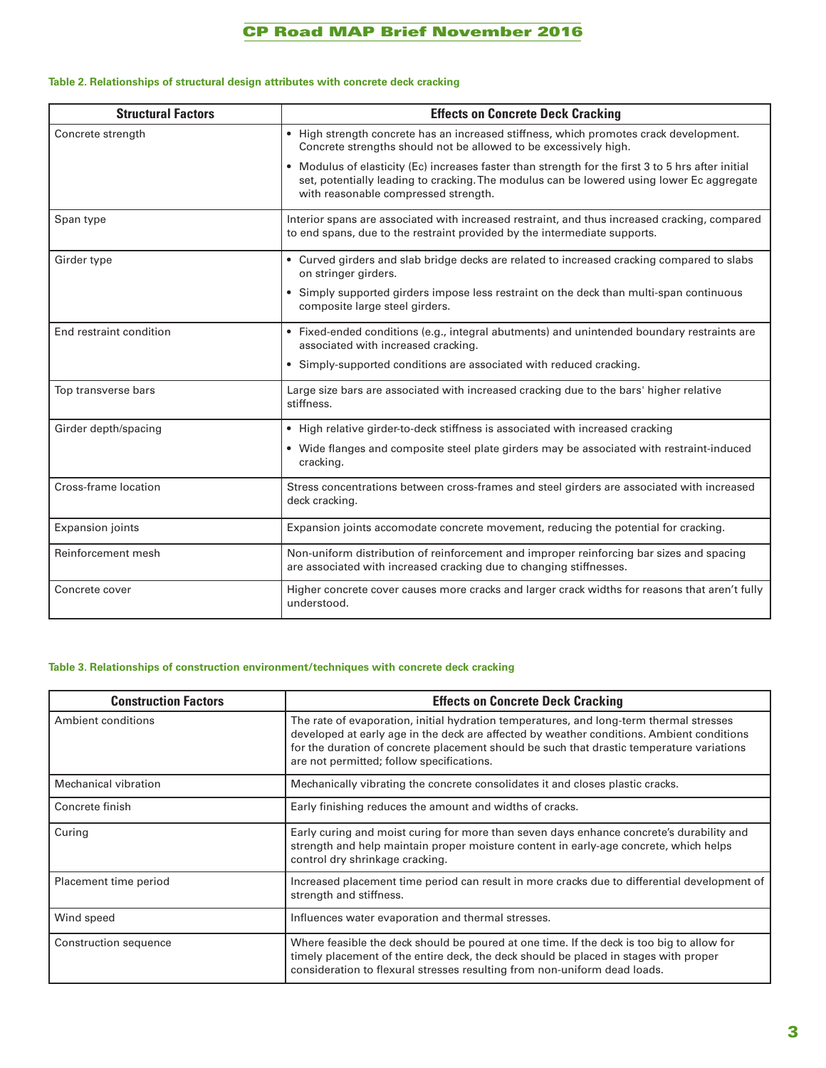### CP Road MAP Brief November 2016

#### **Table 2. Relationships of structural design attributes with concrete deck cracking**

| <b>Structural Factors</b> | <b>Effects on Concrete Deck Cracking</b>                                                                                                                                                                                                |
|---------------------------|-----------------------------------------------------------------------------------------------------------------------------------------------------------------------------------------------------------------------------------------|
| Concrete strength         | • High strength concrete has an increased stiffness, which promotes crack development.<br>Concrete strengths should not be allowed to be excessively high.                                                                              |
|                           | • Modulus of elasticity (Ec) increases faster than strength for the first 3 to 5 hrs after initial<br>set, potentially leading to cracking. The modulus can be lowered using lower Ec aggregate<br>with reasonable compressed strength. |
| Span type                 | Interior spans are associated with increased restraint, and thus increased cracking, compared<br>to end spans, due to the restraint provided by the intermediate supports.                                                              |
| Girder type               | • Curved girders and slab bridge decks are related to increased cracking compared to slabs<br>on stringer girders.                                                                                                                      |
|                           | • Simply supported girders impose less restraint on the deck than multi-span continuous<br>composite large steel girders.                                                                                                               |
| End restraint condition   | • Fixed-ended conditions (e.g., integral abutments) and unintended boundary restraints are<br>associated with increased cracking.                                                                                                       |
|                           | • Simply-supported conditions are associated with reduced cracking.                                                                                                                                                                     |
| Top transverse bars       | Large size bars are associated with increased cracking due to the bars' higher relative<br>stiffness.                                                                                                                                   |
| Girder depth/spacing      | • High relative girder-to-deck stiffness is associated with increased cracking                                                                                                                                                          |
|                           | • Wide flanges and composite steel plate girders may be associated with restraint-induced<br>cracking.                                                                                                                                  |
| Cross-frame location      | Stress concentrations between cross-frames and steel girders are associated with increased<br>deck cracking.                                                                                                                            |
| <b>Expansion joints</b>   | Expansion joints accomodate concrete movement, reducing the potential for cracking.                                                                                                                                                     |
| Reinforcement mesh        | Non-uniform distribution of reinforcement and improper reinforcing bar sizes and spacing<br>are associated with increased cracking due to changing stiffnesses.                                                                         |
| Concrete cover            | Higher concrete cover causes more cracks and larger crack widths for reasons that aren't fully<br>understood.                                                                                                                           |

#### **Table 3. Relationships of construction environment/techniques with concrete deck cracking**

| <b>Construction Factors</b> | <b>Effects on Concrete Deck Cracking</b>                                                                                                                                                                                                                                                                                       |
|-----------------------------|--------------------------------------------------------------------------------------------------------------------------------------------------------------------------------------------------------------------------------------------------------------------------------------------------------------------------------|
| Ambient conditions          | The rate of evaporation, initial hydration temperatures, and long-term thermal stresses<br>developed at early age in the deck are affected by weather conditions. Ambient conditions<br>for the duration of concrete placement should be such that drastic temperature variations<br>are not permitted; follow specifications. |
| <b>Mechanical vibration</b> | Mechanically vibrating the concrete consolidates it and closes plastic cracks.                                                                                                                                                                                                                                                 |
| Concrete finish             | Early finishing reduces the amount and widths of cracks.                                                                                                                                                                                                                                                                       |
| Curing                      | Early curing and moist curing for more than seven days enhance concrete's durability and<br>strength and help maintain proper moisture content in early-age concrete, which helps<br>control dry shrinkage cracking.                                                                                                           |
| Placement time period       | Increased placement time period can result in more cracks due to differential development of<br>strength and stiffness.                                                                                                                                                                                                        |
| Wind speed                  | Influences water evaporation and thermal stresses.                                                                                                                                                                                                                                                                             |
| Construction sequence       | Where feasible the deck should be poured at one time. If the deck is too big to allow for<br>timely placement of the entire deck, the deck should be placed in stages with proper<br>consideration to flexural stresses resulting from non-uniform dead loads.                                                                 |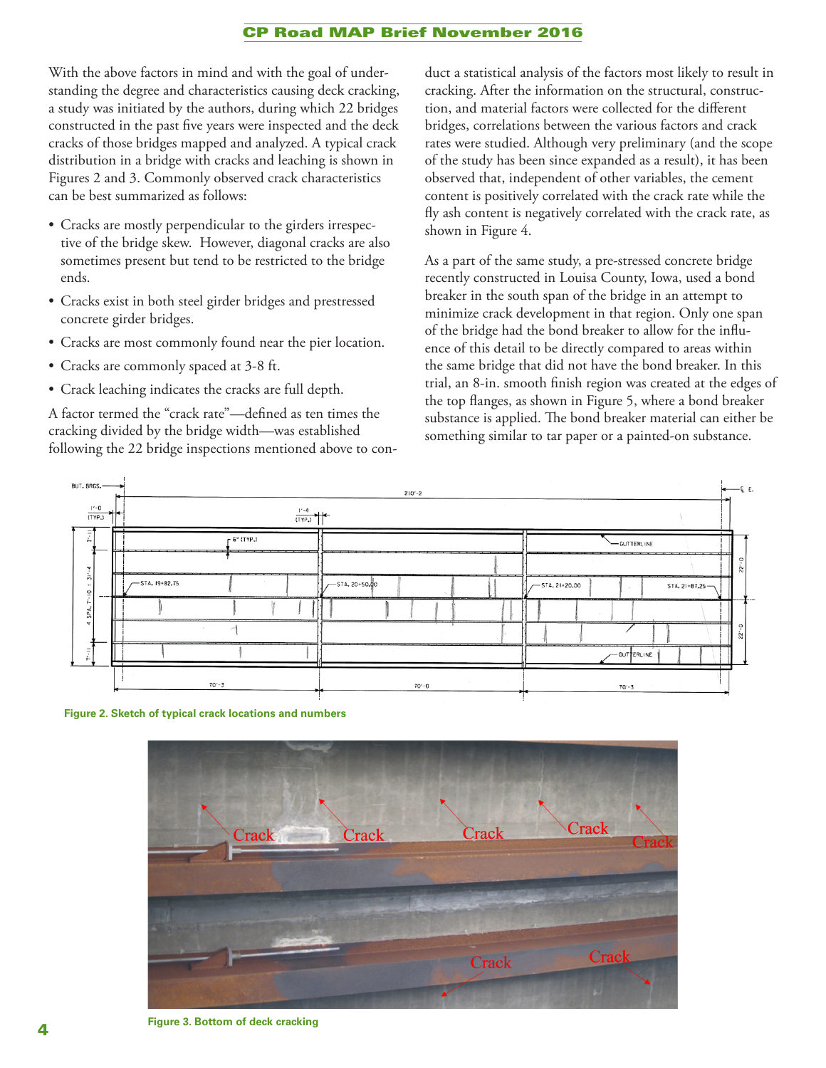#### CP Road MAP Brief November 2016

With the above factors in mind and with the goal of understanding the degree and characteristics causing deck cracking, a study was initiated by the authors, during which 22 bridges constructed in the past five years were inspected and the deck cracks of those bridges mapped and analyzed. A typical crack distribution in a bridge with cracks and leaching is shown in Figures 2 and 3. Commonly observed crack characteristics can be best summarized as follows:

- Cracks are mostly perpendicular to the girders irrespective of the bridge skew. However, diagonal cracks are also sometimes present but tend to be restricted to the bridge ends.
- Cracks exist in both steel girder bridges and prestressed concrete girder bridges.
- Cracks are most commonly found near the pier location.
- Cracks are commonly spaced at 3-8 ft.
- Crack leaching indicates the cracks are full depth.

A factor termed the "crack rate"—defined as ten times the cracking divided by the bridge width—was established following the 22 bridge inspections mentioned above to conduct a statistical analysis of the factors most likely to result in cracking. After the information on the structural, construction, and material factors were collected for the different bridges, correlations between the various factors and crack rates were studied. Although very preliminary (and the scope of the study has been since expanded as a result), it has been observed that, independent of other variables, the cement content is positively correlated with the crack rate while the fly ash content is negatively correlated with the crack rate, as shown in Figure 4.

As a part of the same study, a pre-stressed concrete bridge recently constructed in Louisa County, Iowa, used a bond breaker in the south span of the bridge in an attempt to minimize crack development in that region. Only one span of the bridge had the bond breaker to allow for the influence of this detail to be directly compared to areas within the same bridge that did not have the bond breaker. In this trial, an 8-in. smooth finish region was created at the edges of the top flanges, as shown in Figure 5, where a bond breaker substance is applied. The bond breaker material can either be something similar to tar paper or a painted-on substance.



**Figure 2. Sketch of typical crack locations and numbers**



**Figure 3. Bottom of deck cracking**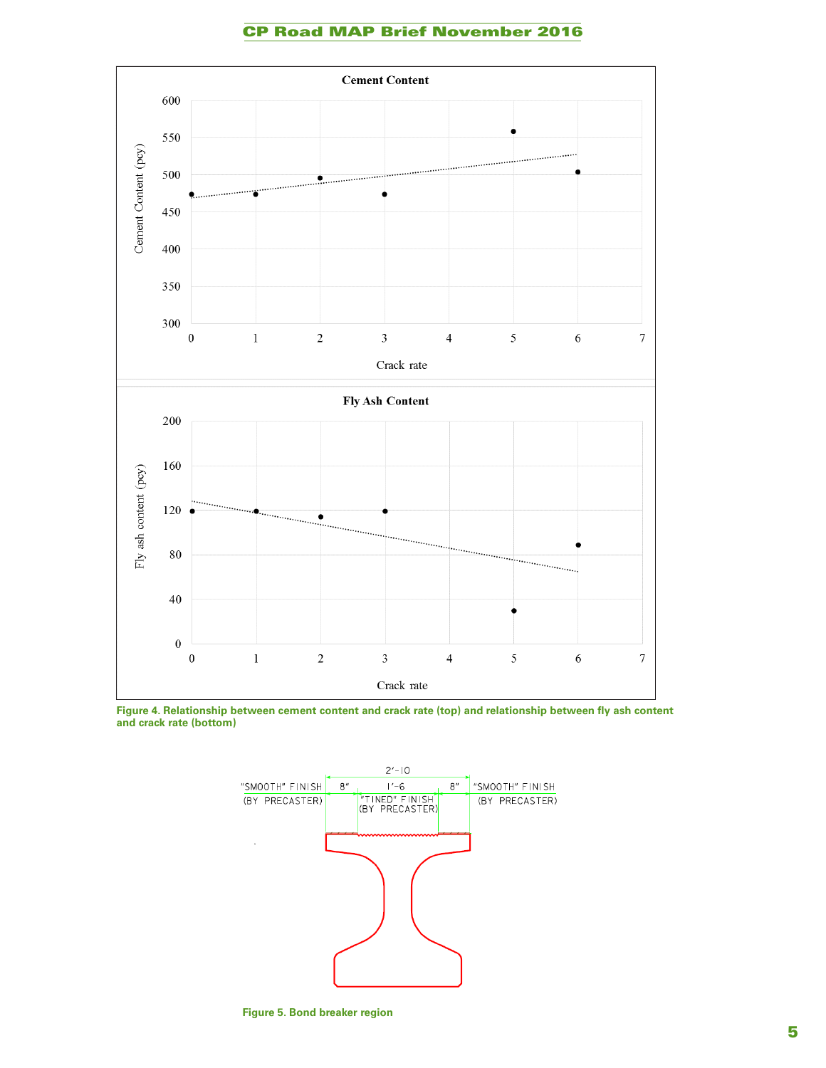#### CP Road MAP Brief November 2016



**Figure 4. Relationship between cement content and crack rate (top) and relationship between fly ash content and crack rate (bottom)**



**Figure 5. Bond breaker region**